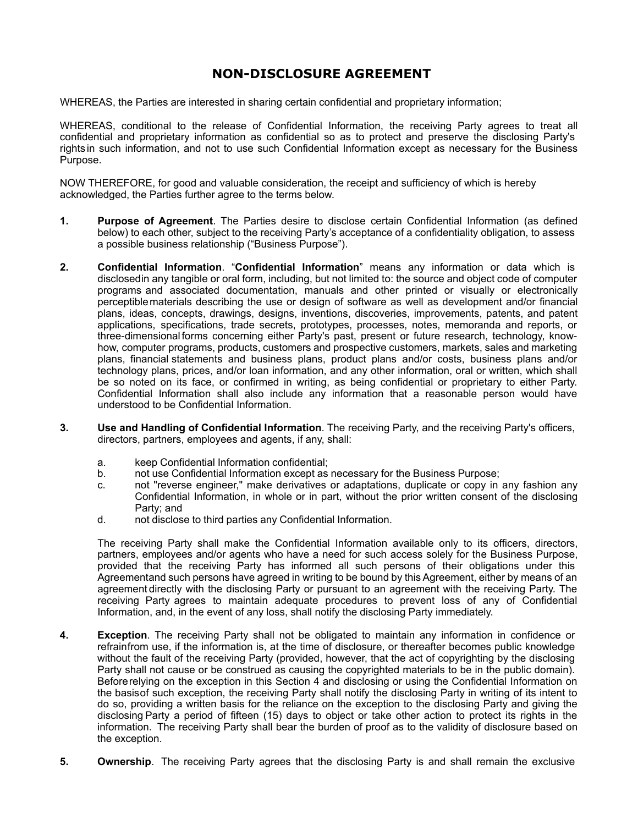## **NON-DISCLOSURE AGREEMENT**

WHEREAS, the Parties are interested in sharing certain confidential and proprietary information;

WHEREAS, conditional to the release of Confidential Information, the receiving Party agrees to treat all confidential and proprietary information as confidential so as to protect and preserve the disclosing Party's rights in such information, and not to use such Confidential Information except as necessary for the Business Purpose.

NOW THEREFORE, for good and valuable consideration, the receipt and sufficiency of which is hereby acknowledged, the Parties further agree to the terms below.

- **1. Purpose of Agreement**. The Parties desire to disclose certain Confidential Information (as defined below) to each other, subject to the receiving Party's acceptance of a confidentiality obligation, to assess a possible business relationship ("Business Purpose").
- **2. Confidential Information**. "**Confidential Information**" means any information or data which is disclosedin any tangible or oral form, including, but not limited to: the source and object code of computer programs and associated documentation, manuals and other printed or visually or electronically perceptiblematerials describing the use or design of software as well as development and/or financial plans, ideas, concepts, drawings, designs, inventions, discoveries, improvements, patents, and patent applications, specifications, trade secrets, prototypes, processes, notes, memoranda and reports, or three-dimensional forms concerning either Party's past, present or future research, technology, knowhow, computer programs, products, customers and prospective customers, markets, sales and marketing plans, financial statements and business plans, product plans and/or costs, business plans and/or technology plans, prices, and/or loan information, and any other information, oral or written, which shall be so noted on its face, or confirmed in writing, as being confidential or proprietary to either Party. Confidential Information shall also include any information that a reasonable person would have understood to be Confidential Information.
- **3. Use and Handling of Confidential Information**. The receiving Party, and the receiving Party's officers, directors, partners, employees and agents, if any, shall:
	- a. keep Confidential Information confidential;
	- b. not use Confidential Information except as necessary for the Business Purpose;
	- c. not "reverse engineer," make derivatives or adaptations, duplicate or copy in any fashion any Confidential Information, in whole or in part, without the prior written consent of the disclosing Party; and
	- d. not disclose to third parties any Confidential Information.

The receiving Party shall make the Confidential Information available only to its officers, directors, partners, employees and/or agents who have a need for such access solely for the Business Purpose, provided that the receiving Party has informed all such persons of their obligations under this Agreementand such persons have agreed in writing to be bound by this Agreement, either by means of an agreement directly with the disclosing Party or pursuant to an agreement with the receiving Party. The receiving Party agrees to maintain adequate procedures to prevent loss of any of Confidential Information, and, in the event of any loss, shall notify the disclosing Party immediately.

- **4. Exception**. The receiving Party shall not be obligated to maintain any information in confidence or refrainfrom use, if the information is, at the time of disclosure, or thereafter becomes public knowledge without the fault of the receiving Party (provided, however, that the act of copyrighting by the disclosing Party shall not cause or be construed as causing the copyrighted materials to be in the public domain). Beforerelying on the exception in this Section 4 and disclosing or using the Confidential Information on the basisof such exception, the receiving Party shall notify the disclosing Party in writing of its intent to do so, providing a written basis for the reliance on the exception to the disclosing Party and giving the disclosing Party a period of fifteen (15) days to object or take other action to protect its rights in the information. The receiving Party shall bear the burden of proof as to the validity of disclosure based on the exception.
- **5. Ownership**. The receiving Party agrees that the disclosing Party is and shall remain the exclusive